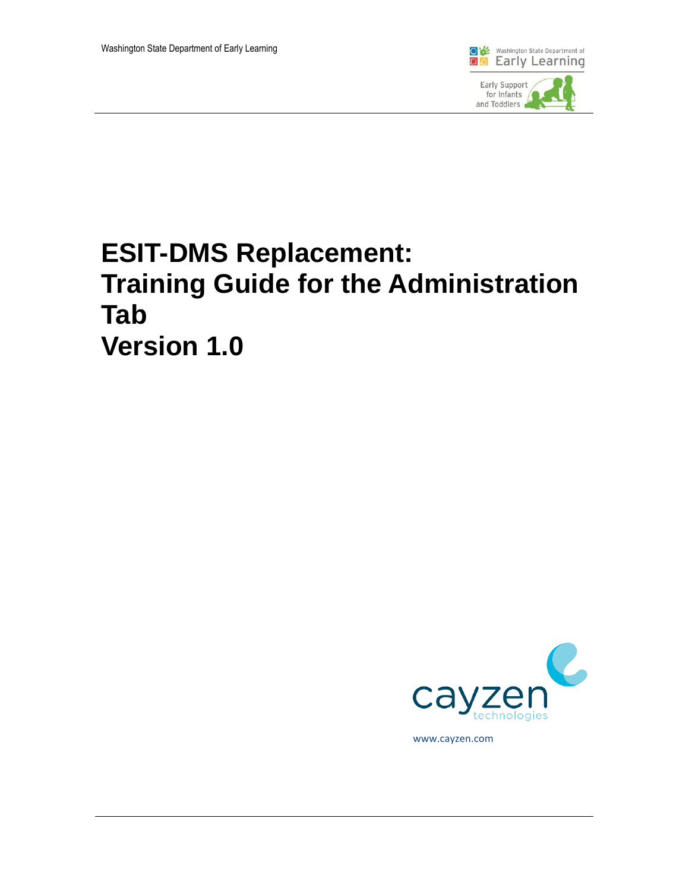

# **ESIT-DMS Replacement: Training Guide for the Administration Tab Version 1.0**



www.cayzen.com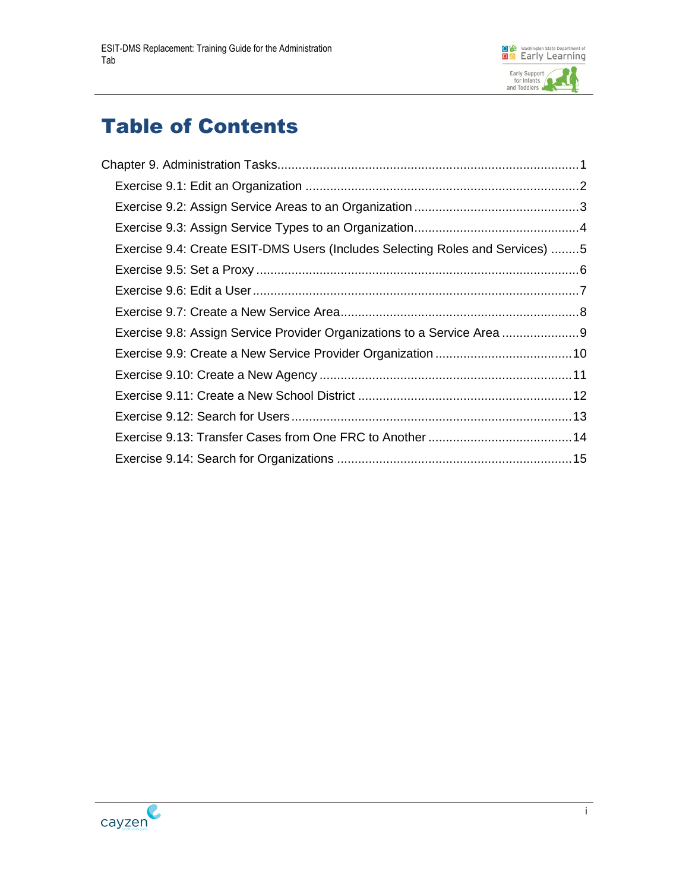

# Table of Contents

| Exercise 9.4: Create ESIT-DMS Users (Includes Selecting Roles and Services) 5 |  |
|-------------------------------------------------------------------------------|--|
|                                                                               |  |
|                                                                               |  |
|                                                                               |  |
| Exercise 9.8: Assign Service Provider Organizations to a Service Area 9       |  |
|                                                                               |  |
|                                                                               |  |
|                                                                               |  |
|                                                                               |  |
|                                                                               |  |
|                                                                               |  |
|                                                                               |  |

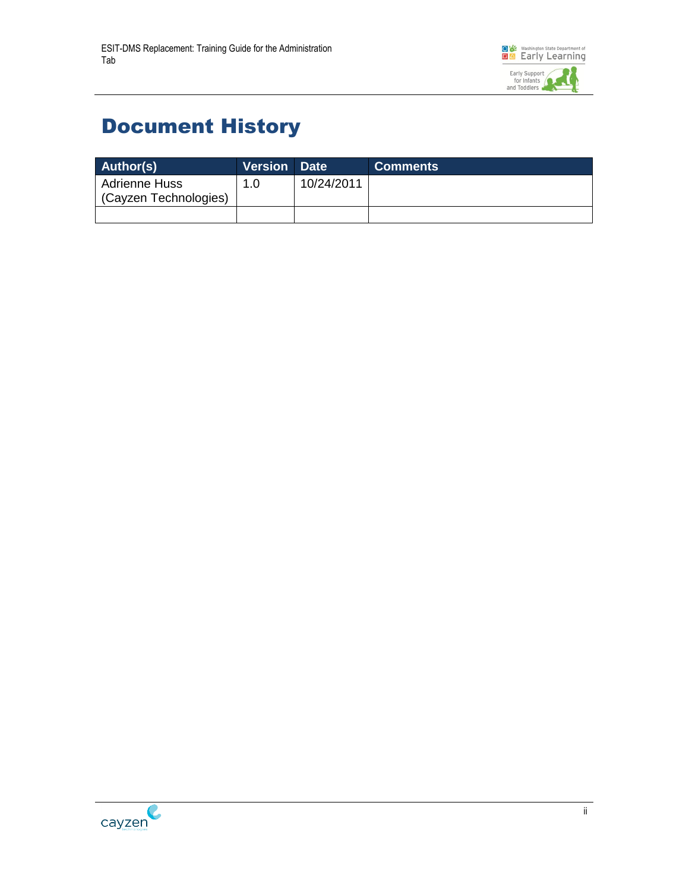

## Document History

| Author(s)                                     | <b>Version Date</b> |            | <b>Comments</b> |
|-----------------------------------------------|---------------------|------------|-----------------|
| <b>Adrienne Huss</b><br>(Cayzen Technologies) | 1.0                 | 10/24/2011 |                 |
|                                               |                     |            |                 |

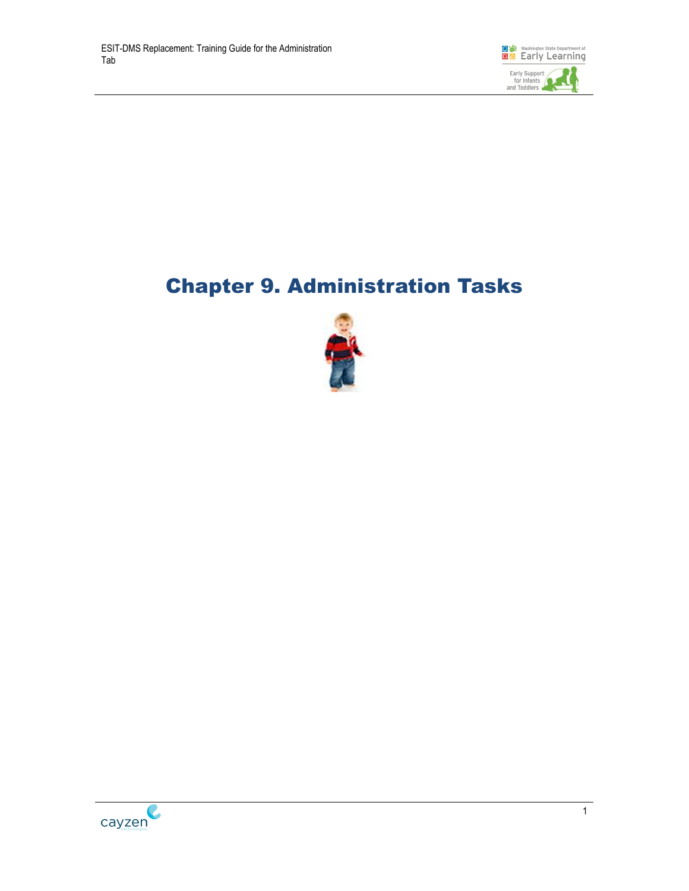

# <span id="page-3-0"></span>Chapter 9. Administration Tasks



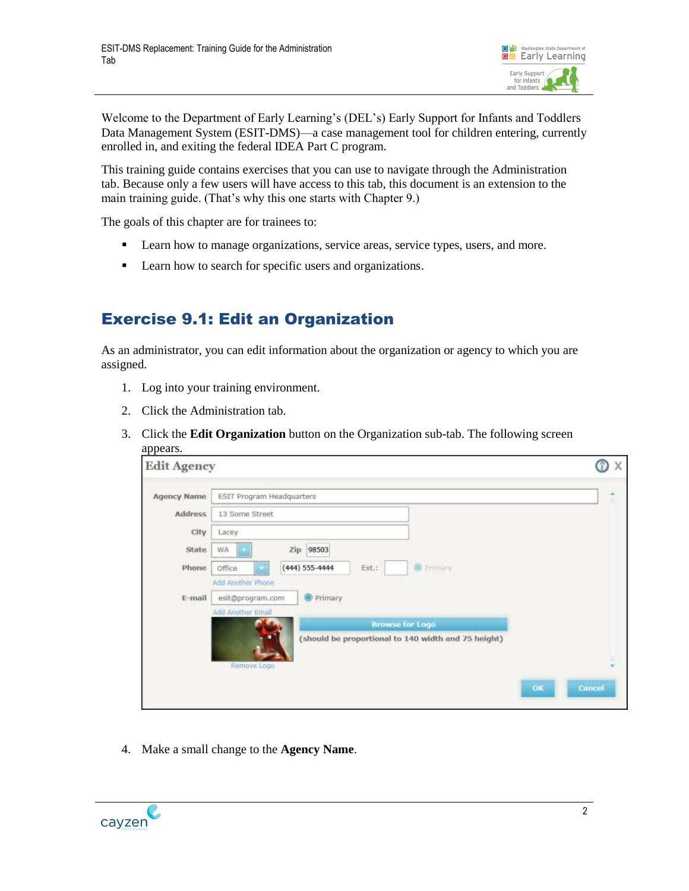

Welcome to the Department of Early Learning's (DEL's) Early Support for Infants and Toddlers Data Management System (ESIT-DMS)—a case management tool for children entering, currently enrolled in, and exiting the federal IDEA Part C program.

This training guide contains exercises that you can use to navigate through the Administration tab. Because only a few users will have access to this tab, this document is an extension to the main training guide. (That's why this one starts with Chapter 9.)

The goals of this chapter are for trainees to:

- **Learn how to manage organizations, service areas, service types, users, and more.**
- **Learn how to search for specific users and organizations.**

#### <span id="page-4-0"></span>Exercise 9.1: Edit an Organization

As an administrator, you can edit information about the organization or agency to which you are assigned.

- 1. Log into your training environment.
- 2. Click the Administration tab.
- 3. Click the **Edit Organization** button on the Organization sub-tab. The following screen appears.

| <b>Edit Agency</b> |                                  |                             |                                                     |              |
|--------------------|----------------------------------|-----------------------------|-----------------------------------------------------|--------------|
| <b>Agency Name</b> | <b>ESIT Program Headquarters</b> |                             |                                                     |              |
| <b>Address</b>     | 13 Some Street                   |                             |                                                     |              |
| City               | Lacey                            |                             |                                                     |              |
| State              | <b>WA</b>                        | Zip 98503                   |                                                     |              |
| Phone              | Office                           | Ext.:<br>$(444) 555 - 4444$ | <sup>S</sup> Primary                                |              |
|                    | Add Another Phone                |                             |                                                     |              |
| E-mail             | esit@program.com                 | Primary                     |                                                     |              |
|                    | Add Another Email                |                             | <b>Browse for Logo</b>                              |              |
|                    |                                  |                             | (should be proportional to 140 width and 75 height) |              |
|                    | Remove Logo                      |                             |                                                     |              |
|                    |                                  |                             |                                                     | ок<br>Cancel |
|                    |                                  |                             |                                                     |              |

4. Make a small change to the **Agency Name**.

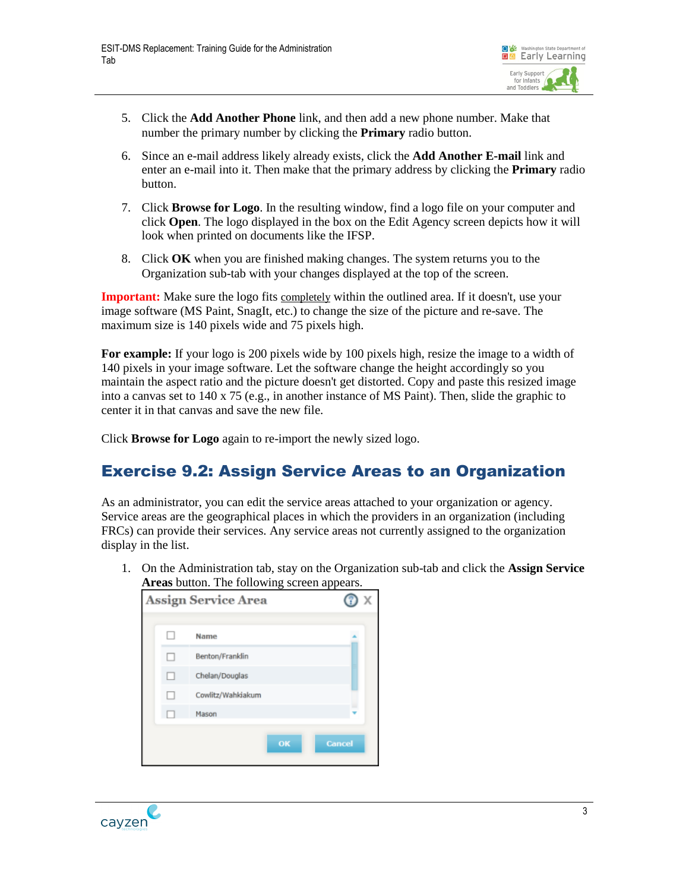

- 5. Click the **Add Another Phone** link, and then add a new phone number. Make that number the primary number by clicking the **Primary** radio button.
- 6. Since an e-mail address likely already exists, click the **Add Another E-mail** link and enter an e-mail into it. Then make that the primary address by clicking the **Primary** radio button.
- 7. Click **Browse for Logo**. In the resulting window, find a logo file on your computer and click **Open**. The logo displayed in the box on the Edit Agency screen depicts how it will look when printed on documents like the IFSP.
- 8. Click **OK** when you are finished making changes. The system returns you to the Organization sub-tab with your changes displayed at the top of the screen.

**Important:** Make sure the logo fits completely within the outlined area. If it doesn't, use your image software (MS Paint, SnagIt, etc.) to change the size of the picture and re-save. The maximum size is 140 pixels wide and 75 pixels high.

**For example:** If your logo is 200 pixels wide by 100 pixels high, resize the image to a width of 140 pixels in your image software. Let the software change the height accordingly so you maintain the aspect ratio and the picture doesn't get distorted. Copy and paste this resized image into a canvas set to 140 x 75 (e.g., in another instance of MS Paint). Then, slide the graphic to center it in that canvas and save the new file.

Click **Browse for Logo** again to re-import the newly sized logo.

#### <span id="page-5-0"></span>Exercise 9.2: Assign Service Areas to an Organization

As an administrator, you can edit the service areas attached to your organization or agency. Service areas are the geographical places in which the providers in an organization (including FRCs) can provide their services. Any service areas not currently assigned to the organization display in the list.

1. On the Administration tab, stay on the Organization sub-tab and click the **Assign Service Areas** button. The following screen appears.

| <b>Assign Service Area</b> |                   |               |
|----------------------------|-------------------|---------------|
| П                          | Name              |               |
| п                          | Benton/Franklin   |               |
| П                          | Chelan/Douglas    |               |
| . .                        | Cowlitz/Wahkiakum |               |
|                            | Mason             |               |
|                            |                   |               |
|                            | OK                | <b>Cancel</b> |

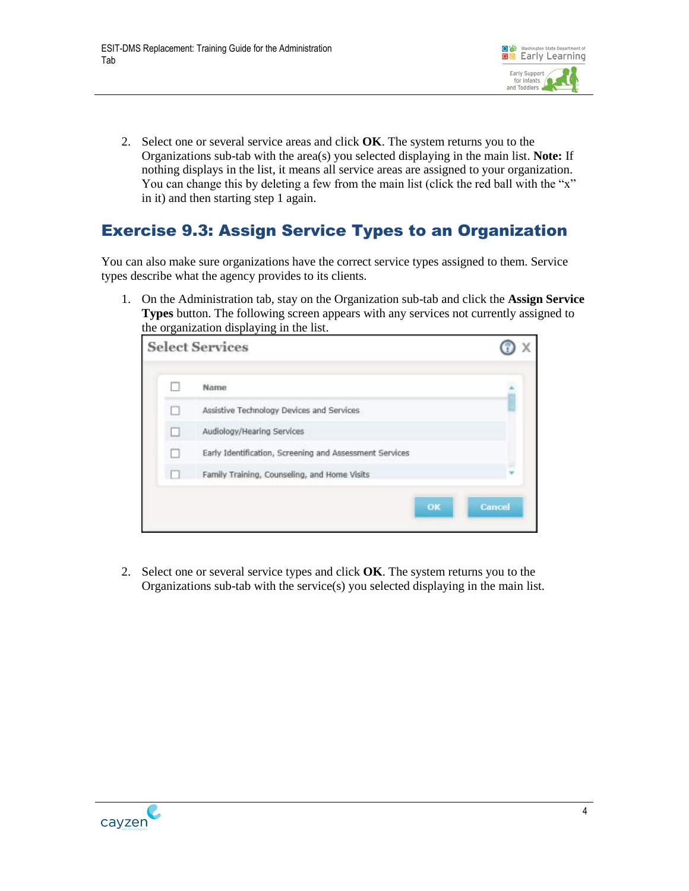

2. Select one or several service areas and click **OK**. The system returns you to the Organizations sub-tab with the area(s) you selected displaying in the main list. **Note:** If nothing displays in the list, it means all service areas are assigned to your organization. You can change this by deleting a few from the main list (click the red ball with the "x" in it) and then starting step 1 again.

#### <span id="page-6-0"></span>Exercise 9.3: Assign Service Types to an Organization

You can also make sure organizations have the correct service types assigned to them. Service types describe what the agency provides to its clients.

1. On the Administration tab, stay on the Organization sub-tab and click the **Assign Service Types** button. The following screen appears with any services not currently assigned to the organization displaying in the list.

|   | <b>Select Services</b>                                  |        |
|---|---------------------------------------------------------|--------|
|   | Name                                                    |        |
| n | Assistive Technology Devices and Services               |        |
| □ | Audiology/Hearing Services                              |        |
|   | Early Identification, Screening and Assessment Services |        |
|   | Family Training, Counseling, and Home Visits            |        |
|   | ок                                                      | Cancel |

2. Select one or several service types and click **OK**. The system returns you to the Organizations sub-tab with the service(s) you selected displaying in the main list.

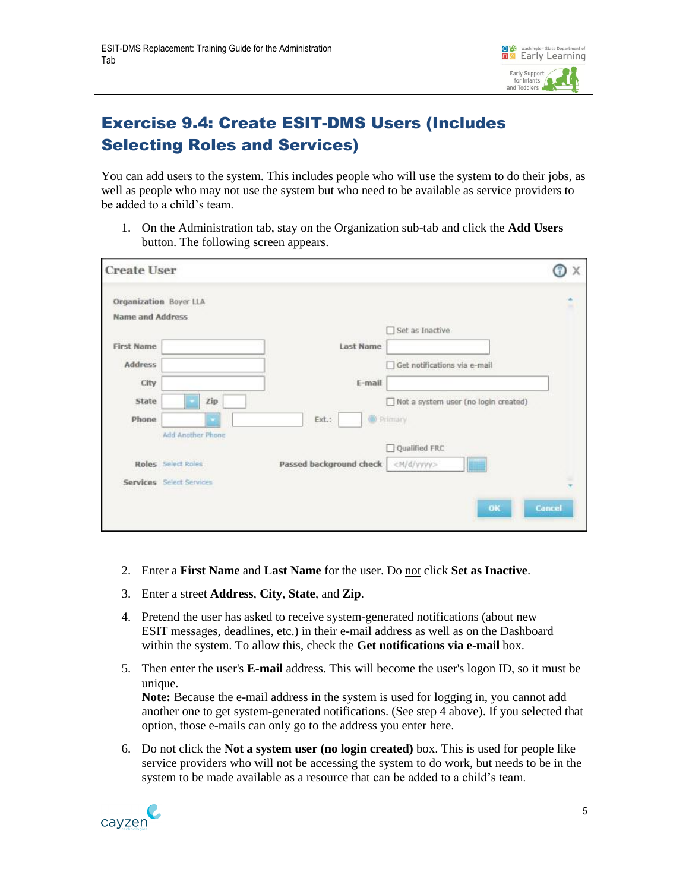

### <span id="page-7-0"></span>Exercise 9.4: Create ESIT-DMS Users (Includes Selecting Roles and Services)

You can add users to the system. This includes people who will use the system to do their jobs, as well as people who may not use the system but who need to be available as service providers to be added to a child's team.

1. On the Administration tab, stay on the Organization sub-tab and click the **Add Users** button. The following screen appears.

| <b>Create User</b>                                |                          |                         |                                      | Χ             |
|---------------------------------------------------|--------------------------|-------------------------|--------------------------------------|---------------|
| Organization Boyer LLA<br><b>Name and Address</b> |                          |                         |                                      | ô             |
|                                                   |                          |                         | Set as Inactive                      |               |
| <b>First Name</b>                                 |                          | Last Name               |                                      |               |
| <b>Address</b>                                    |                          |                         | Get notifications via e-mail         |               |
| City                                              |                          | $E$ -mail               |                                      |               |
| State                                             | Zip                      |                         | Not a system user (no login created) |               |
| Phone                                             |                          | Ext.:                   | <sup>O</sup> Primary                 |               |
|                                                   | Add Another Phone        |                         |                                      |               |
|                                                   |                          |                         | Oualified FRC                        |               |
|                                                   | Roles Select Roles       | Passed background check | <m d="" yyyy=""></m>                 |               |
|                                                   | Services Select Services |                         |                                      | ٠<br>÷        |
|                                                   |                          |                         | OK                                   | <b>Cancel</b> |

- 2. Enter a **First Name** and **Last Name** for the user. Do not click **Set as Inactive**.
- 3. Enter a street **Address**, **City**, **State**, and **Zip**.
- 4. Pretend the user has asked to receive system-generated notifications (about new ESIT messages, deadlines, etc.) in their e-mail address as well as on the Dashboard within the system. To allow this, check the **Get notifications via e-mail** box.
- 5. Then enter the user's **E-mail** address. This will become the user's logon ID, so it must be unique. **Note:** Because the e-mail address in the system is used for logging in, you cannot add another one to get system-generated notifications. (See step 4 above). If you selected that

option, those e-mails can only go to the address you enter here.

6. Do not click the **Not a system user (no login created)** box. This is used for people like service providers who will not be accessing the system to do work, but needs to be in the system to be made available as a resource that can be added to a child's team.

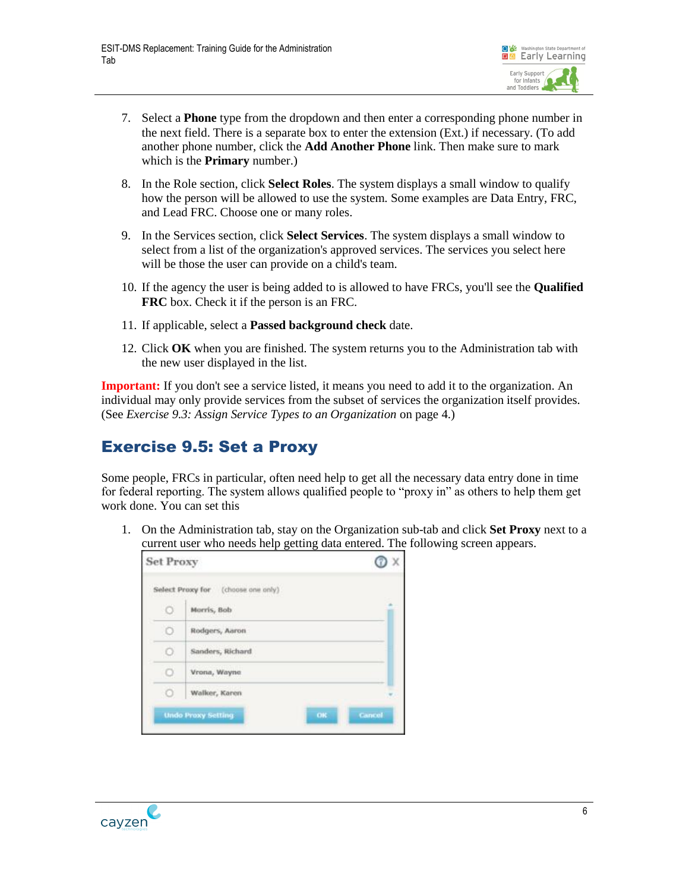

- 7. Select a **Phone** type from the dropdown and then enter a corresponding phone number in the next field. There is a separate box to enter the extension (Ext.) if necessary. (To add another phone number, click the **Add Another Phone** link. Then make sure to mark which is the **Primary** number.)
- 8. In the Role section, click **Select Roles**. The system displays a small window to qualify how the person will be allowed to use the system. Some examples are Data Entry, FRC, and Lead FRC. Choose one or many roles.
- 9. In the Services section, click **Select Services**. The system displays a small window to select from a list of the organization's approved services. The services you select here will be those the user can provide on a child's team.
- 10. If the agency the user is being added to is allowed to have FRCs, you'll see the **Qualified FRC** box. Check it if the person is an FRC.
- 11. If applicable, select a **Passed background check** date.
- 12. Click **OK** when you are finished. The system returns you to the Administration tab with the new user displayed in the list.

**Important:** If you don't see a service listed, it means you need to add it to the organization. An individual may only provide services from the subset of services the organization itself provides. (See *[Exercise 9.3: Assign Service Types to an Organization](#page-6-0)* on page [4.](#page-6-0))

#### <span id="page-8-0"></span>Exercise 9.5: Set a Proxy

Some people, FRCs in particular, often need help to get all the necessary data entry done in time for federal reporting. The system allows qualified people to "proxy in" as others to help them get work done. You can set this

1. On the Administration tab, stay on the Organization sub-tab and click **Set Proxy** next to a current user who needs help getting data entered. The following screen appears.

| <b>Set Proxy</b> |                                       |               |  |
|------------------|---------------------------------------|---------------|--|
|                  | Select Proxy for (choose one only)    |               |  |
| Ö                | Marris, Bob                           |               |  |
| O                | Rodgers, Aaron                        |               |  |
| σ                | Sanders, Richard                      |               |  |
|                  | Vrona, Wayne                          |               |  |
| o                | Walker, Karen                         |               |  |
|                  | OK<br><b>Unde Prexy Setting</b><br>s. | <b>Cancel</b> |  |

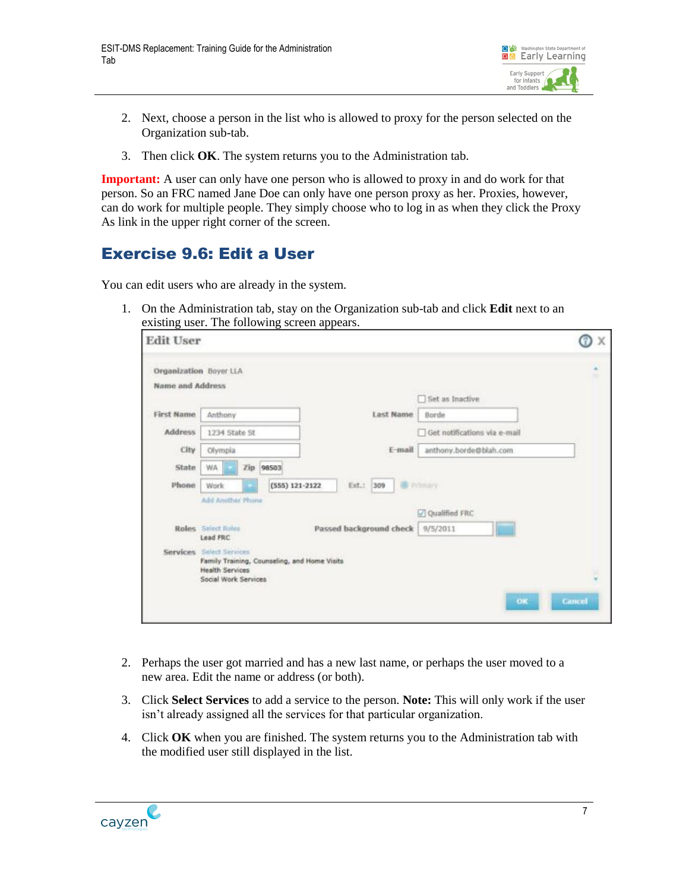

- 2. Next, choose a person in the list who is allowed to proxy for the person selected on the Organization sub-tab.
- 3. Then click **OK**. The system returns you to the Administration tab.

**Important:** A user can only have one person who is allowed to proxy in and do work for that person. So an FRC named Jane Doe can only have one person proxy as her. Proxies, however, can do work for multiple people. They simply choose who to log in as when they click the Proxy As link in the upper right corner of the screen.

#### <span id="page-9-0"></span>Exercise 9.6: Edit a User

You can edit users who are already in the system.

1. On the Administration tab, stay on the Organization sub-tab and click **Edit** next to an existing user. The following screen appears.

| <b>Edit User</b>                                  |                                                                                                                            |                               |                              | X      |
|---------------------------------------------------|----------------------------------------------------------------------------------------------------------------------------|-------------------------------|------------------------------|--------|
| <b>Organization</b> Boyer LLA<br>Name and Address |                                                                                                                            |                               |                              | ۰      |
|                                                   |                                                                                                                            |                               | Set as Inactive              |        |
| <b>First Name</b>                                 | Anthony                                                                                                                    | Last Name                     | Borde                        |        |
| <b>Address</b>                                    | 1234 State St                                                                                                              |                               | Get notifications via e-mail |        |
| City                                              | Olympia                                                                                                                    | E-mail                        | anthony.borde@blah.com       |        |
| State                                             | WA.<br>Zip 98503                                                                                                           |                               |                              |        |
| Phone                                             | Work                                                                                                                       | $(555)$ 121-2122<br>Ext.: 309 | <b>B</b> Primary             |        |
|                                                   | Add Another Phone                                                                                                          |                               | Qualified FRC                |        |
|                                                   | Roles Select Roles<br>Lead FRC                                                                                             | Passed background check       | 9/5/2011                     |        |
|                                                   | Services Select Services<br>Family Training, Counseling, and Home Visits<br><b>Health Services</b><br>Social Work Services |                               |                              |        |
|                                                   |                                                                                                                            |                               | OK                           | Cancel |

- 2. Perhaps the user got married and has a new last name, or perhaps the user moved to a new area. Edit the name or address (or both).
- 3. Click **Select Services** to add a service to the person. **Note:** This will only work if the user isn't already assigned all the services for that particular organization.
- 4. Click **OK** when you are finished. The system returns you to the Administration tab with the modified user still displayed in the list.

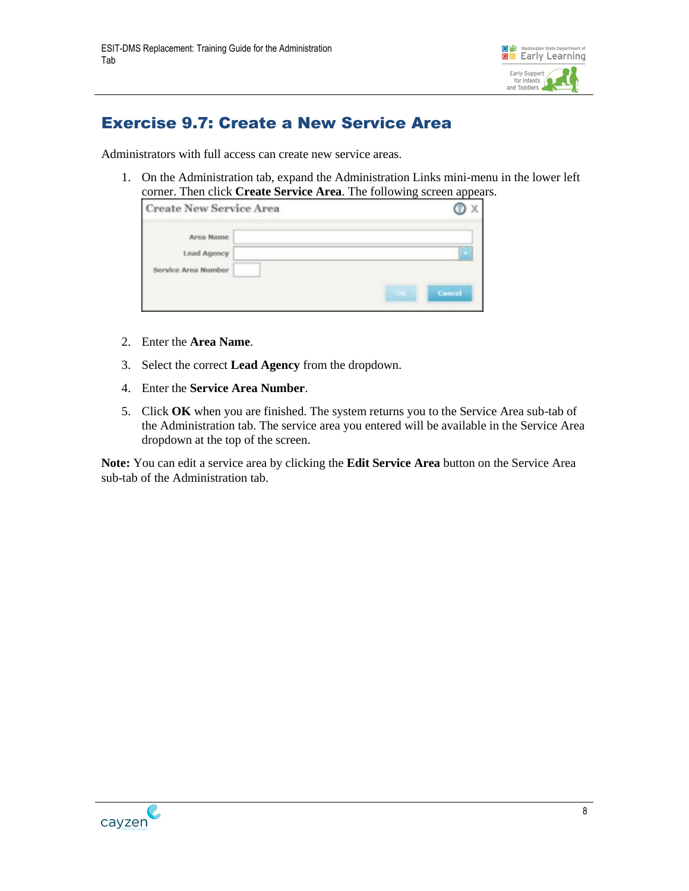

#### <span id="page-10-0"></span>Exercise 9.7: Create a New Service Area

Administrators with full access can create new service areas.

1. On the Administration tab, expand the Administration Links mini-menu in the lower left corner. Then click **Create Service Area**. The following screen appears.

| <b>Create New Service Area</b>                  |        |
|-------------------------------------------------|--------|
| Area Name<br>Lead Agency<br>Service Area Number | Cancel |

- 2. Enter the **Area Name**.
- 3. Select the correct **Lead Agency** from the dropdown.
- 4. Enter the **Service Area Number**.
- 5. Click **OK** when you are finished. The system returns you to the Service Area sub-tab of the Administration tab. The service area you entered will be available in the Service Area dropdown at the top of the screen.

**Note:** You can edit a service area by clicking the **Edit Service Area** button on the Service Area sub-tab of the Administration tab.

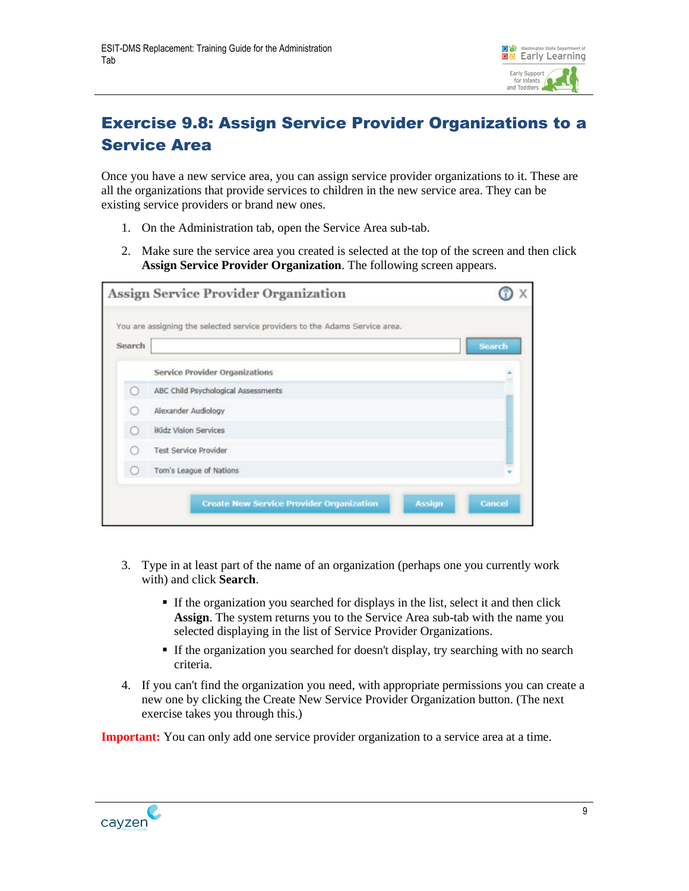

### <span id="page-11-0"></span>Exercise 9.8: Assign Service Provider Organizations to a Service Area

Once you have a new service area, you can assign service provider organizations to it. These are all the organizations that provide services to children in the new service area. They can be existing service providers or brand new ones.

- 1. On the Administration tab, open the Service Area sub-tab.
- 2. Make sure the service area you created is selected at the top of the screen and then click **Assign Service Provider Organization**. The following screen appears.

|               | <b>Assign Service Provider Organization</b>                                 |               |
|---------------|-----------------------------------------------------------------------------|---------------|
| <b>Search</b> | You are assigning the selected service providers to the Adams Service area. | <b>Search</b> |
|               | <b>Service Provider Organizations</b>                                       |               |
|               | ABC Child Psychological Assessments                                         |               |
|               | Alexander Audiology                                                         |               |
|               | <b>ikidz Vision Services</b>                                                |               |
|               | <b>Test Service Provider</b>                                                |               |
|               | Tom's League of Nations                                                     |               |
|               | <b>Assign</b><br><b>Create New Service Provider Organization</b>            | <b>Cancel</b> |

- 3. Type in at least part of the name of an organization (perhaps one you currently work with) and click **Search**.
	- If the organization you searched for displays in the list, select it and then click **Assign**. The system returns you to the Service Area sub-tab with the name you selected displaying in the list of Service Provider Organizations.
	- If the organization you searched for doesn't display, try searching with no search criteria.
- 4. If you can't find the organization you need, with appropriate permissions you can create a new one by clicking the Create New Service Provider Organization button. (The next exercise takes you through this.)

**Important:** You can only add one service provider organization to a service area at a time.

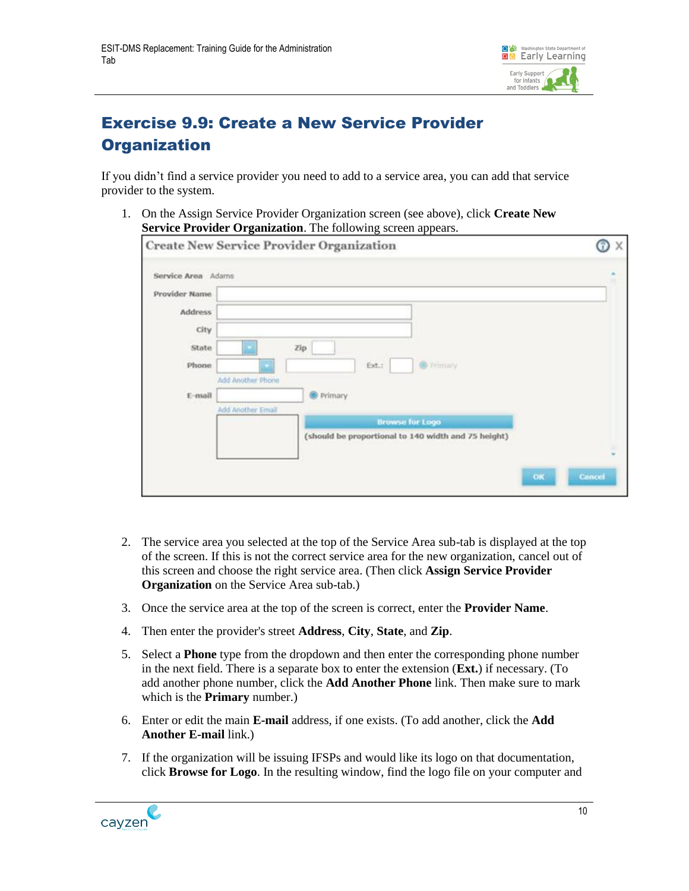

### <span id="page-12-0"></span>Exercise 9.9: Create a New Service Provider **Organization**

If you didn't find a service provider you need to add to a service area, you can add that service provider to the system.

1. On the Assign Service Provider Organization screen (see above), click **Create New Service Provider Organization**. The following screen appears.

|                    | <b>Create New Service Provider Organization</b>                               | X      |
|--------------------|-------------------------------------------------------------------------------|--------|
| Service Area Adams |                                                                               |        |
| Provider Name      |                                                                               |        |
| <b>Address</b>     |                                                                               |        |
| City               |                                                                               |        |
| State              | Zip                                                                           |        |
| Phone:             | <b>O</b> Primary<br>Ext.:                                                     |        |
|                    | Add Another Phone                                                             |        |
| $E$ -mail          | Primary                                                                       |        |
|                    | Add Another Email                                                             |        |
|                    | <b>Browse for Logo</b><br>(should be proportional to 140 width and 75 height) |        |
|                    |                                                                               |        |
|                    |                                                                               |        |
|                    | OK                                                                            | Cancel |
|                    |                                                                               |        |

- 2. The service area you selected at the top of the Service Area sub-tab is displayed at the top of the screen. If this is not the correct service area for the new organization, cancel out of this screen and choose the right service area. (Then click **Assign Service Provider Organization** on the Service Area sub-tab.)
- 3. Once the service area at the top of the screen is correct, enter the **Provider Name**.
- 4. Then enter the provider's street **Address**, **City**, **State**, and **Zip**.
- 5. Select a **Phone** type from the dropdown and then enter the corresponding phone number in the next field. There is a separate box to enter the extension (**Ext.**) if necessary. (To add another phone number, click the **Add Another Phone** link. Then make sure to mark which is the **Primary** number.)
- 6. Enter or edit the main **E-mail** address, if one exists. (To add another, click the **Add Another E-mail** link.)
- 7. If the organization will be issuing IFSPs and would like its logo on that documentation, click **Browse for Logo**. In the resulting window, find the logo file on your computer and

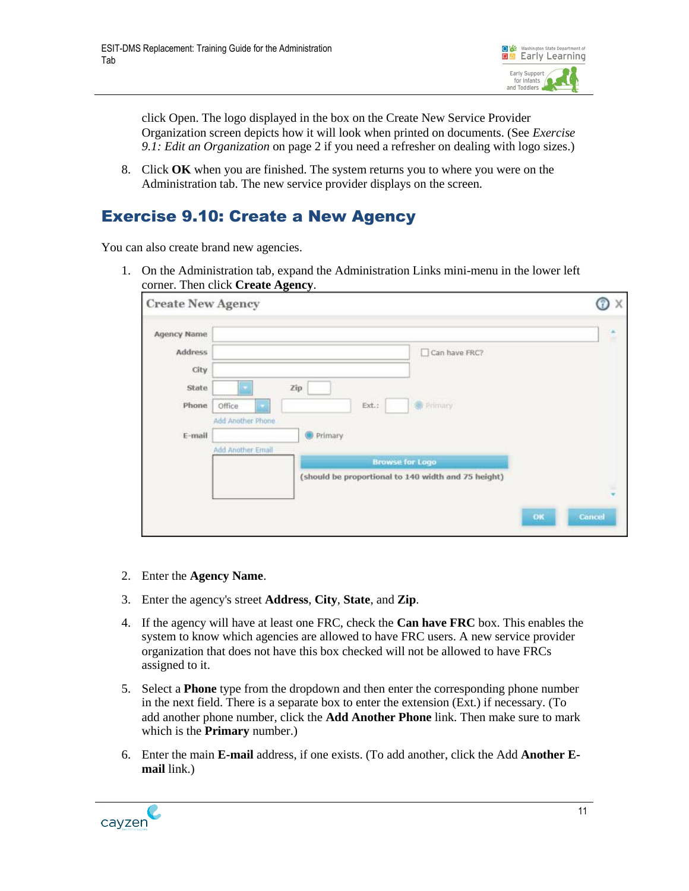

click Open. The logo displayed in the box on the Create New Service Provider Organization screen depicts how it will look when printed on documents. (See *[Exercise](#page-4-0)  [9.1: Edit an Organization](#page-4-0)* on page [2](#page-4-0) if you need a refresher on dealing with logo sizes.)

8. Click **OK** when you are finished. The system returns you to where you were on the Administration tab. The new service provider displays on the screen.

#### <span id="page-13-0"></span>Exercise 9.10: Create a New Agency

You can also create brand new agencies.

1. On the Administration tab, expand the Administration Links mini-menu in the lower left corner. Then click **Create Agency**.

| <b>Create New Agency</b> |                                                      | X      |
|--------------------------|------------------------------------------------------|--------|
| Agency Name              |                                                      | ĉ      |
| Address<br>City.         | Can have FRC?                                        |        |
| State<br>Phone           | Zip<br><b>C</b> Primary<br>Ext.:<br>Office           |        |
| E-mail                   | Add Another Phone<br>Primary<br>Add Another Email    |        |
|                          | <b>Browse for Logo</b>                               |        |
|                          | (should be proportional to 140 width and 75 height). | ×<br>× |
|                          | OK                                                   | Cancel |

- 2. Enter the **Agency Name**.
- 3. Enter the agency's street **Address**, **City**, **State**, and **Zip**.
- 4. If the agency will have at least one FRC, check the **Can have FRC** box. This enables the system to know which agencies are allowed to have FRC users. A new service provider organization that does not have this box checked will not be allowed to have FRCs assigned to it.
- 5. Select a **Phone** type from the dropdown and then enter the corresponding phone number in the next field. There is a separate box to enter the extension (Ext.) if necessary. (To add another phone number, click the **Add Another Phone** link. Then make sure to mark which is the **Primary** number.)
- 6. Enter the main **E-mail** address, if one exists. (To add another, click the Add **Another Email** link.)

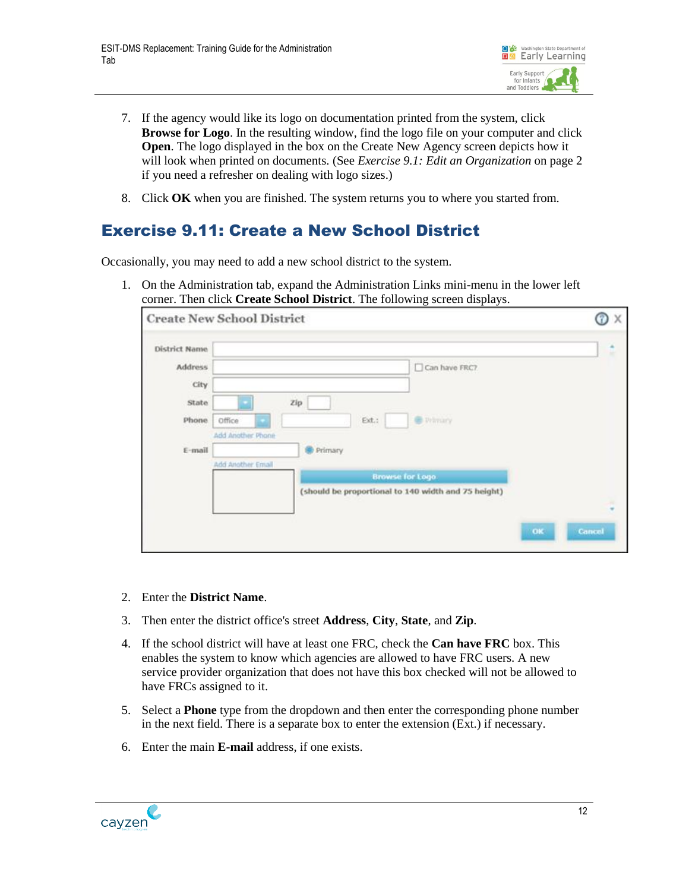

- 7. If the agency would like its logo on documentation printed from the system, click **Browse for Logo**. In the resulting window, find the logo file on your computer and click **Open**. The logo displayed in the box on the Create New Agency screen depicts how it will look when printed on documents. (See *[Exercise 9.1: Edit an Organization](#page-4-0)* on page [2](#page-4-0) if you need a refresher on dealing with logo sizes.)
- 8. Click **OK** when you are finished. The system returns you to where you started from.

#### <span id="page-14-0"></span>Exercise 9.11: Create a New School District

Occasionally, you may need to add a new school district to the system.

1. On the Administration tab, expand the Administration Links mini-menu in the lower left corner. Then click **Create School District**. The following screen displays.

|               | <b>Create New School District</b>                       | X.                    |
|---------------|---------------------------------------------------------|-----------------------|
| District Name |                                                         | ٠                     |
| Address       | Can have FRC?                                           |                       |
| <b>City</b>   |                                                         |                       |
| State         | Zip                                                     |                       |
| Phone         | Ext.<br><b>B</b> Wintery<br>Office<br>Add Another Phone |                       |
| E-mail        | Primary                                                 |                       |
|               | Add Another Email<br><b>Browse for Logo</b>             |                       |
|               | (should be proportional to 140 width and 75 height)     |                       |
|               |                                                         |                       |
|               |                                                         | $_{\alpha}$<br>Cancel |
|               |                                                         |                       |

- 2. Enter the **District Name**.
- 3. Then enter the district office's street **Address**, **City**, **State**, and **Zip**.
- 4. If the school district will have at least one FRC, check the **Can have FRC** box. This enables the system to know which agencies are allowed to have FRC users. A new service provider organization that does not have this box checked will not be allowed to have FRCs assigned to it.
- 5. Select a **Phone** type from the dropdown and then enter the corresponding phone number in the next field. There is a separate box to enter the extension (Ext.) if necessary.
- 6. Enter the main **E-mail** address, if one exists.

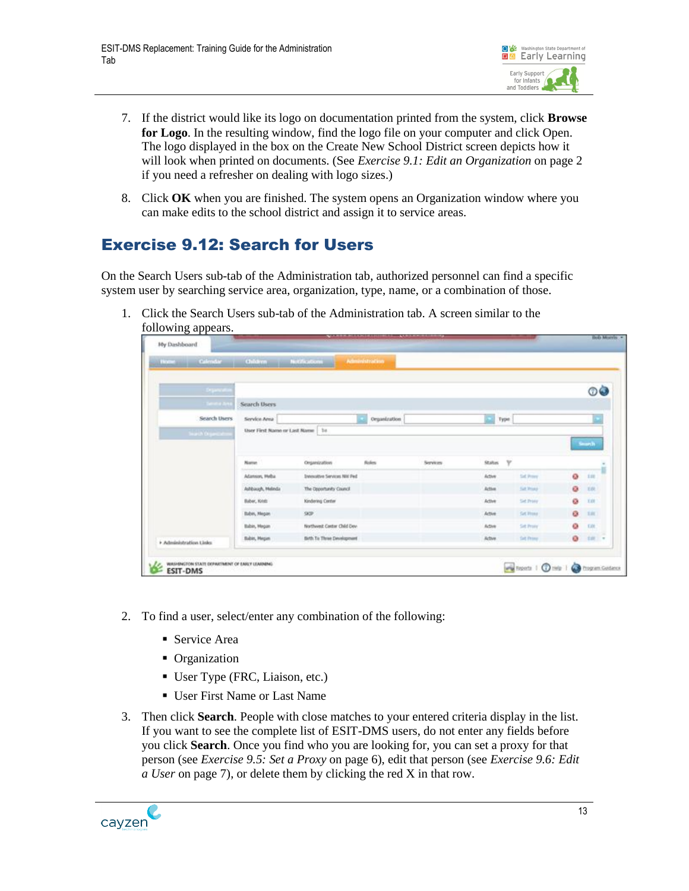

- 7. If the district would like its logo on documentation printed from the system, click **Browse for Logo**. In the resulting window, find the logo file on your computer and click Open. The logo displayed in the box on the Create New School District screen depicts how it will look when printed on documents. (See *[Exercise 9.1: Edit an Organization](#page-4-0)* on page [2](#page-4-0) if you need a refresher on dealing with logo sizes.)
- 8. Click **OK** when you are finished. The system opens an Organization window where you can make edits to the school district and assign it to service areas.

#### <span id="page-15-0"></span>Exercise 9.12: Search for Users

On the Search Users sub-tab of the Administration tab, authorized personnel can find a specific system user by searching service area, organization, type, name, or a combination of those.

1. Click the Search Users sub-tab of the Administration tab. A screen similar to the following appears.

| Nome Calendar Children Notifications |                              |                                            | Administration |          |                        |                   |            |            |
|--------------------------------------|------------------------------|--------------------------------------------|----------------|----------|------------------------|-------------------|------------|------------|
| <b>Drawin</b>                        |                              |                                            |                |          |                        |                   |            | oà         |
| <b>Television Arts</b>               | Search Dsers                 |                                            |                |          |                        |                   |            |            |
| Search Users                         | Service Area<br>Organization |                                            | Type           |          |                        |                   |            |            |
| <b>Search Organ</b>                  | Name                         |                                            | ficies:        |          | $\mathbf{v}$<br>Status |                   |            | South      |
|                                      | Adamson, Melha               | Organization<br>Innovative Services NW Ped |                | Services | Active                 | Salt Prover       | G.         | in         |
|                                      | Alfbauch, Meleda             | The Opportunity Council                    |                |          | Action                 | <b>Suit Woods</b> | a          | <b>YAY</b> |
|                                      | Baber, Kints                 | Kindering Center                           |                |          | Active                 | Sid Trony         | ۰          | XIX        |
|                                      | Babin, Megan                 | $90^\circ$                                 |                |          | Active                 | <b>Sit How</b>    | O.         | 1.III      |
|                                      | Babin, Megan                 | Northwest Center Child Dev-                |                |          | Adlet                  | <b>Sid Prony</b>  | o          | ER         |
| · Administration Union               | <b>Babin, Hegan</b>          | Bith To Three Development                  |                |          | Achee                  | <b>Set Pring</b>  | $^{\circ}$ | $50 - 7$   |

- 2. To find a user, select/enter any combination of the following:
	- Service Area
	- Organization
	- User Type (FRC, Liaison, etc.)
	- User First Name or Last Name
- 3. Then click **Search**. People with close matches to your entered criteria display in the list. If you want to see the complete list of ESIT-DMS users, do not enter any fields before you click **Search**. Once you find who you are looking for, you can set a proxy for that person (see *[Exercise 9.5: Set a Proxy](#page-8-0)* on page [6\)](#page-8-0), edit that person (see *[Exercise 9.6: Edit](#page-9-0) a [User](#page-9-0)* on page [7\)](#page-9-0), or delete them by clicking the red X in that row.

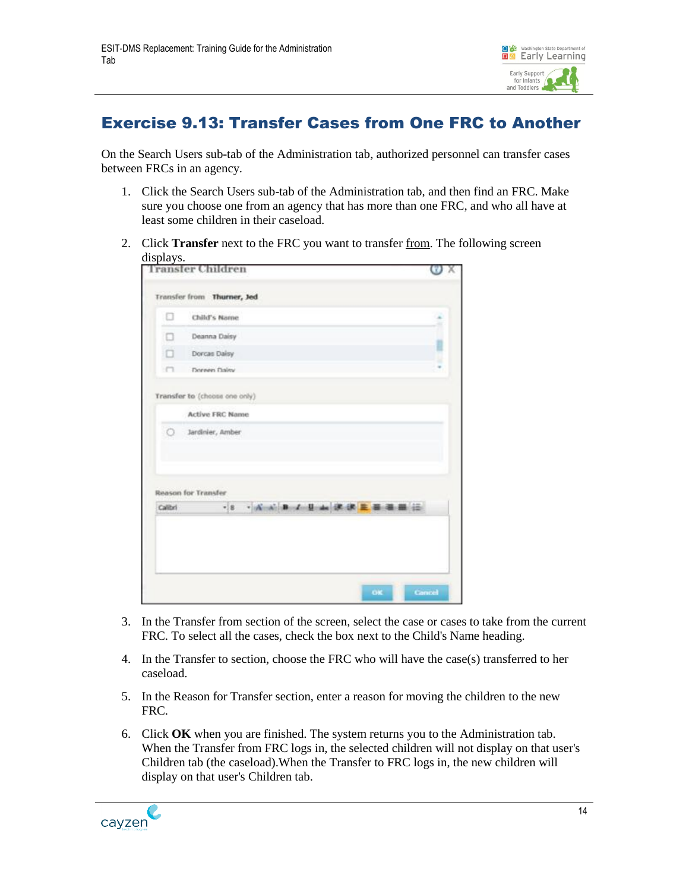

#### <span id="page-16-0"></span>Exercise 9.13: Transfer Cases from One FRC to Another

On the Search Users sub-tab of the Administration tab, authorized personnel can transfer cases between FRCs in an agency.

- 1. Click the Search Users sub-tab of the Administration tab, and then find an FRC. Make sure you choose one from an agency that has more than one FRC, and who all have at least some children in their caseload.
- 2. Click **Transfer** next to the FRC you want to transfer from. The following screen displays.

|         | ransfer Children                           |  |
|---------|--------------------------------------------|--|
|         | Transfer from Thurner, Jed                 |  |
| o       | Child's Name                               |  |
| Ω       | Deanna Daisy                               |  |
| α       | Dorcas Dalsy                               |  |
| m       | Doreen Daley                               |  |
|         | <b>Active FRC Name</b><br>Jardinier, Amber |  |
|         | <b>Reason for Transfer</b>                 |  |
| Calibri | · A A B / B a R & E B B E<br>$\cdot$ 8     |  |

- 3. In the Transfer from section of the screen, select the case or cases to take from the current FRC. To select all the cases, check the box next to the Child's Name heading.
- 4. In the Transfer to section, choose the FRC who will have the case(s) transferred to her caseload.
- 5. In the Reason for Transfer section, enter a reason for moving the children to the new FRC.
- 6. Click **OK** when you are finished. The system returns you to the Administration tab. When the Transfer from FRC logs in, the selected children will not display on that user's Children tab (the caseload).When the Transfer to FRC logs in, the new children will display on that user's Children tab.

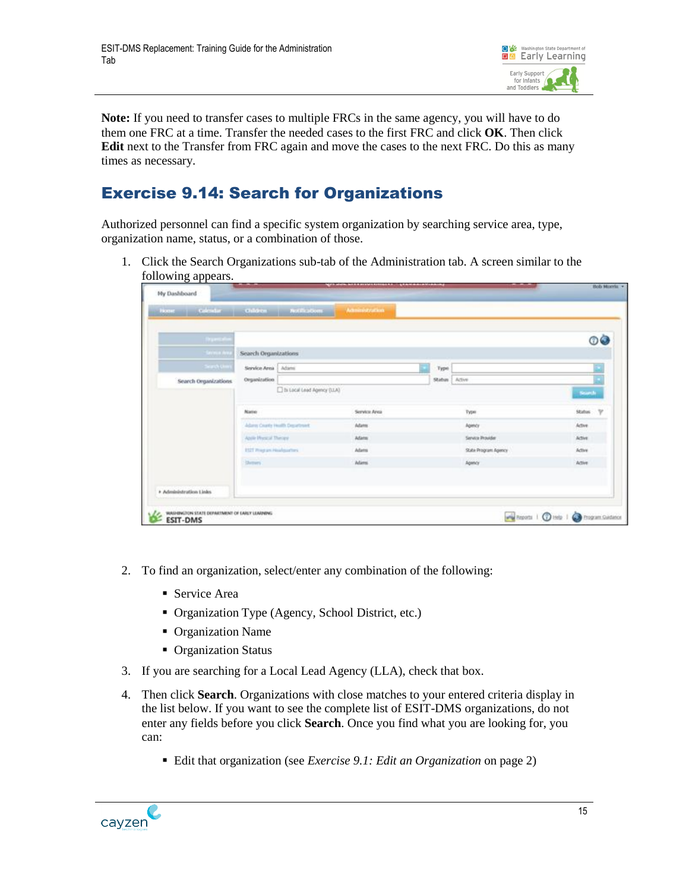

**Note:** If you need to transfer cases to multiple FRCs in the same agency, you will have to do them one FRC at a time. Transfer the needed cases to the first FRC and click **OK**. Then click **Edit** next to the Transfer from FRC again and move the cases to the next FRC. Do this as many times as necessary.

#### <span id="page-17-0"></span>Exercise 9.14: Search for Organizations

Authorized personnel can find a specific system organization by searching service area, type, organization name, status, or a combination of those.

1. Click the Search Organizations sub-tab of the Administration tab. A screen similar to the following appears.

| home Calendar Oddren Notification |                                  |                                 | Administration |         |                      |                         |
|-----------------------------------|----------------------------------|---------------------------------|----------------|---------|----------------------|-------------------------|
| <b>Family</b>                     |                                  |                                 |                |         |                      | 0Ò                      |
| Seine Ave                         | Search Organizations             |                                 |                |         |                      |                         |
| Search (limit)                    | Service Area Adams               |                                 |                | Type    |                      |                         |
| Search Organizations              | Organization                     |                                 |                | Stabas' | Active               |                         |
|                                   |                                  | h Local Lead Agency (LLA)       |                |         |                      | Starth                  |
|                                   | Name                             |                                 | Service Area   |         | Type                 | Status:<br>$\mathbb{V}$ |
|                                   |                                  | Adams Crurity Health Department | Adams          |         | Agency               | Active                  |
|                                   | Abile Physical Theory            |                                 | Adams:         |         | Service Provider     | Active                  |
|                                   | <b>ESIT Weepare Headquarters</b> |                                 | Adams          |         | State Program Agency | Active                  |
|                                   | <b>Shemers</b>                   |                                 | <b>Alami</b>   |         | Agency               | Active                  |
|                                   |                                  |                                 |                |         |                      |                         |
| * Administration Links.           |                                  |                                 |                |         |                      |                         |

- 2. To find an organization, select/enter any combination of the following:
	- Service Area
	- Organization Type (Agency, School District, etc.)
	- Organization Name
	- Organization Status
- 3. If you are searching for a Local Lead Agency (LLA), check that box.
- 4. Then click **Search**. Organizations with close matches to your entered criteria display in the list below. If you want to see the complete list of ESIT-DMS organizations, do not enter any fields before you click **Search**. Once you find what you are looking for, you can:
	- Edit that organization (see *[Exercise 9.1: Edit an Organization](#page-4-0)* on page [2\)](#page-4-0)